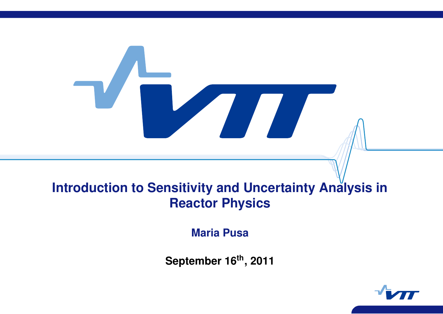# 

# **Introduction to Sensitivity and Uncertainty Analysis in Reactor Physics**

**Maria Pusa**

**September 16th, 2011**

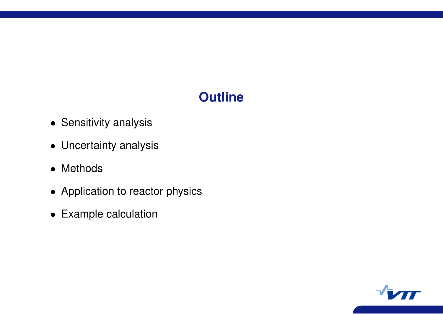# **Outline**

- *•* Sensitivity analysis
- *•* Uncertainty analysis
- *•* Methods
- *•* Application to reactor physics
- *•* Example calculation

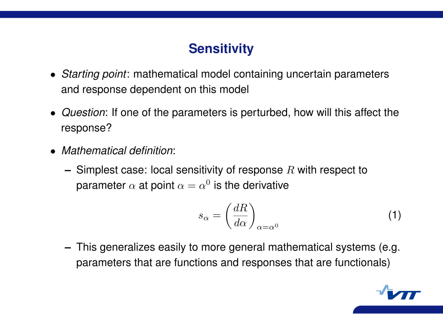# **Sensitivity**

- *• Starting point*: mathematical model containing uncertain parameters and response dependent on this model
- *• Question*: If one of the parameters is perturbed, how will this affect the response?
- *• Mathematical definition*:
	- **–** Simplest case: local sensitivity of response *R* with respect to parameter  $\alpha$  at point  $\alpha = \alpha^0$  is the derivative

$$
s_{\alpha} = \left(\frac{dR}{d\alpha}\right)_{\alpha = \alpha^0} \tag{1}
$$

**–** This generalizes easily to more general mathematical systems (e.g. parameters that are functions and responses that are functionals)

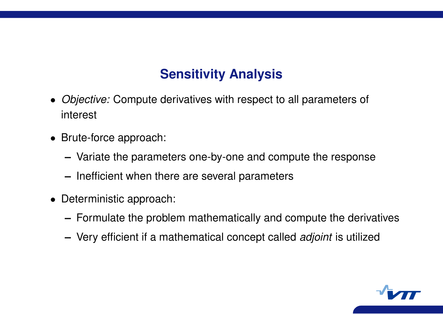# **Sensitivity Analysis**

- *• Objective:* Compute derivatives with respect to all parameters of interest
- *•* Brute-force approach:
	- **–** Variate the parameters one-by-one and compute the response
	- **–** Inefficient when there are several parameters
- *•* Deterministic approach:
	- **–** Formulate the problem mathematically and compute the derivatives
	- **–** Very efficient if a mathematical concept called *adjoint* is utilized

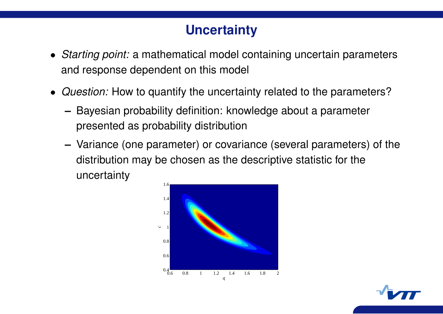## **Uncertainty**

- *• Starting point:* a mathematical model containing uncertain parameters and response dependent on this model
- *• Question:* How to quantify the uncertainty related to the parameters?
	- **–** Bayesian probability definition: knowledge about a parameter presented as probability distribution
	- **–** Variance (one parameter) or covariance (several parameters) of the distribution may be chosen as the descriptive statistic for the uncertainty



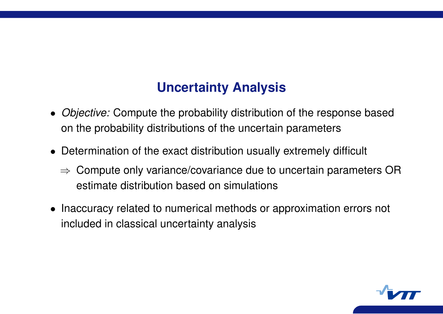## **Uncertainty Analysis**

- *• Objective:* Compute the probability distribution of the response based on the probability distributions of the uncertain parameters
- *•* Determination of the exact distribution usually extremely difficult
	- *⇒* Compute only variance/covariance due to uncertain parameters OR estimate distribution based on simulations
- *•* Inaccuracy related to numerical methods or approximation errors not included in classical uncertainty analysis

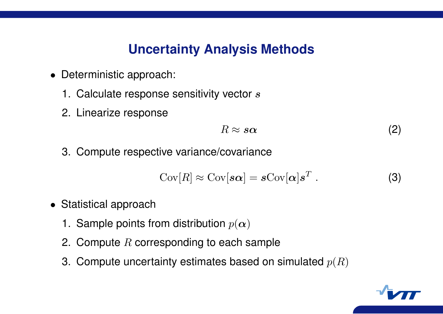#### **Uncertainty Analysis Methods**

- *•* Deterministic approach:
	- 1. Calculate response sensitivity vector *s*
	- 2. Linearize response

$$
R \approx s\alpha \tag{2}
$$

3. Compute respective variance/covariance

$$
Cov[R] \approx Cov[\boldsymbol{s}\boldsymbol{\alpha}] = \boldsymbol{s}Cov[\boldsymbol{\alpha}]\boldsymbol{s}^T. \tag{3}
$$

- *•* Statistical approach
	- 1. Sample points from distribution *p*(*α*)
	- 2. Compute *R* corresponding to each sample
	- 3. Compute uncertainty estimates based on simulated *p*(*R*)

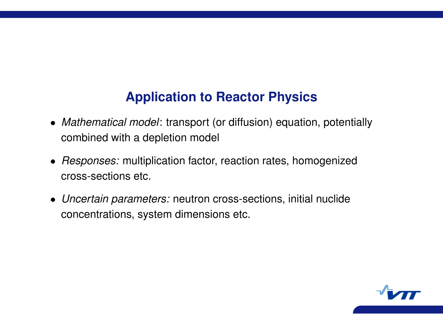## **Application to Reactor Physics**

- *• Mathematical model*: transport (or diffusion) equation, potentially combined with a depletion model
- *• Responses:* multiplication factor, reaction rates, homogenized cross-sections etc.
- *• Uncertain parameters:* neutron cross-sections, initial nuclide concentrations, system dimensions etc.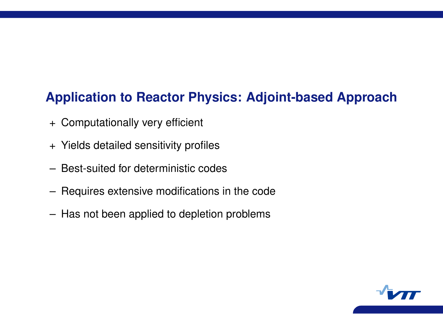## **Application to Reactor Physics: Adjoint-based Approach**

- + Computationally very efficient
- + Yields detailed sensitivity profiles
- Best-suited for deterministic codes
- Requires extensive modifications in the code
- Has not been applied to depletion problems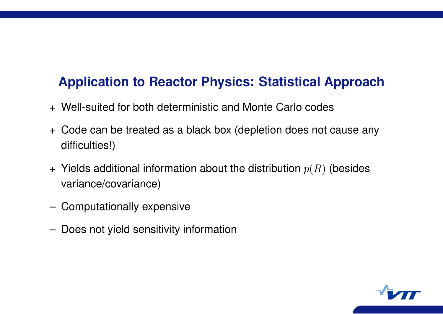## **Application to Reactor Physics: Statistical Approach**

- + Well-suited for both deterministic and Monte Carlo codes
- + Code can be treated as a black box (depletion does not cause any difficulties!)
- + Yields additional information about the distribution *p*(*R*) (besides variance/covariance)
- Computationally expensive
- Does not yield sensitivity information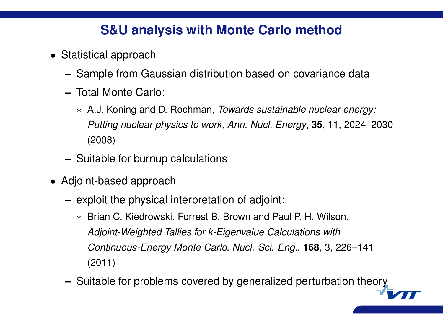### **S&U analysis with Monte Carlo method**

- *•* Statistical approach
	- **–** Sample from Gaussian distribution based on covariance data
	- **–** Total Monte Carlo:
		- *∗* A.J. Koning and D. Rochman, *Towards sustainable nuclear energy: Putting nuclear physics to work, Ann. Nucl. Energy*, **35**, 11, 2024–2030 (2008)
	- **–** Suitable for burnup calculations
- *•* Adjoint-based approach
	- **–** exploit the physical interpretation of adjoint:
		- *∗* Brian C. Kiedrowski, Forrest B. Brown and Paul P. H. Wilson, *Adjoint-Weighted Tallies for k-Eigenvalue Calculations with Continuous-Energy Monte Carlo, Nucl. Sci. Eng.*, **168**, 3, 226–141 (2011)
	- **–** Suitable for problems covered by generalized perturbation theory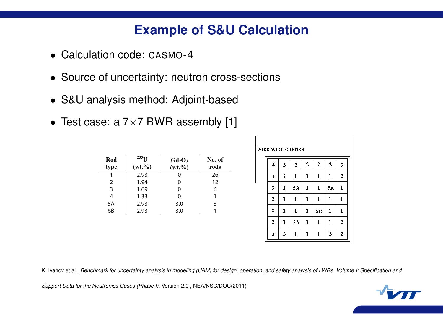#### **Example of S&U Calculation**

- *•* Calculation code: CASMO-4
- *•* Source of uncertainty: neutron cross-sections
- *•* S&U analysis method: Adjoint-based
- *•* Test case: a 7*×*7 BWR assembly [1]

| Rod<br>type | $^{235}$ U<br>$(wt.^{0}\!\!/\!_0)$ | $Gd_2O_3$<br>$(wt. \% )$ | No. of<br>rods |
|-------------|------------------------------------|--------------------------|----------------|
|             | 2.93                               |                          | 26             |
| 2           | 1.94                               |                          | 12             |
| 3           | 1.69                               |                          | 6              |
| 4           | 1.33                               |                          |                |
| <b>5A</b>   | 2.93                               | 3.0                      | 3              |
| 6B          | 2.93                               | 3.0                      |                |

| <b>WIDE-WIDE CORNER</b> |              |             |                  |                  |                  |              |
|-------------------------|--------------|-------------|------------------|------------------|------------------|--------------|
| 4                       | 3            | 3           | $\boldsymbol{2}$ | $\boldsymbol{2}$ | $\mathbf{2}$     | 3            |
| 3                       | 2            | $\mathbf 1$ | ı                | $\mathbf 1$      | $\mathbf 1$      | 2            |
| 3                       | $\mathbf 1$  | 5A          | 1                | $\mathbf 1$      | 5A               | $\bf{l}$     |
| $\mathbf{2}$            | ı            | ı           | ı                | $\mathbf 1$      | 1                | ı            |
| $\boldsymbol{2}$        | $\mathbf 1$  | ı           | ı                | 6В               | $\mathbf 1$      | ı            |
| $\mathbf{2}$            | ı            | 5Α          | $\mathbf 1$      | ı                | $\mathbf{I}$     | $\mathbf{2}$ |
| 3                       | $\mathbf{2}$ | ı           | ı                | ı                | $\boldsymbol{2}$ | 2            |

K. Ivanov et al., *Benchmark for uncertainty analysis in modeling (UAM) for design, operation, and safety analysis of LWRs, Volume I: Specification and*

*Support Data for the Neutronics Cases (Phase I)*, Version 2.0 , NEA/NSC/DOC(2011)

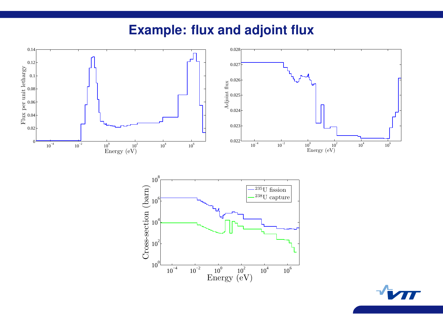#### **Example: flux and adjoint flux**





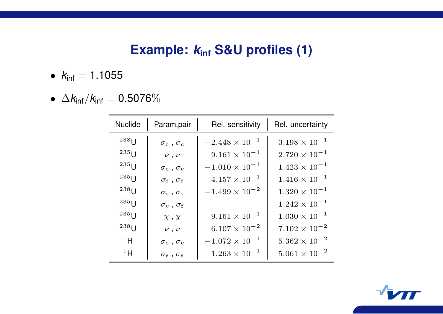#### **Example:**  $k_{\text{inf}}$  **S&U** profiles (1)

- $k_{\text{inf}} = 1.1055$
- $\Delta k_{\text{inf}}/k_{\text{inf}} = 0.5076\%$

| <b>Nuclide</b>     | Param.pair                          | Rel. sensitivity        | Rel. uncertainty       |
|--------------------|-------------------------------------|-------------------------|------------------------|
| $238$ []           | $\sigma_{\rm c}$ , $\sigma_{\rm c}$ | $-2.448 \times 10^{-1}$ | $3.198 \times 10^{-1}$ |
| $235$ []           | $\nu$ , $\nu$                       | $9.161 \times 10^{-1}$  | $2.720 \times 10^{-1}$ |
| $235$ []           | $\sigma_{\rm c}$ , $\sigma_{\rm c}$ | $-1.010 \times 10^{-1}$ | $1.423 \times 10^{-1}$ |
| $235$ []           | $\sigma_{\rm f}$ , $\sigma_{\rm f}$ | $4.157 \times 10^{-1}$  | $1.416 \times 10^{-1}$ |
| $238$ <sub> </sub> | $\sigma_{\rm s}$ , $\sigma_{\rm s}$ | $-1.499 \times 10^{-2}$ | $1.320 \times 10^{-1}$ |
| $235$ []           | $\sigma_{\rm c}$ , $\sigma_{\rm f}$ |                         | $1.242 \times 10^{-1}$ |
| $235$ []           | $\chi$ , $\chi$                     | $9.161 \times 10^{-1}$  | $1.030 \times 10^{-1}$ |
| $238$ []           | $\nu$ , $\nu$                       | $6.107 \times 10^{-2}$  | $7.102 \times 10^{-2}$ |
| $^{1}$ H           | $\sigma_{\rm c}$ , $\sigma_{\rm c}$ | $-1.072 \times 10^{-1}$ | $5.362 \times 10^{-2}$ |
| $^{1}$ H           | $\sigma_{\rm s}$ , $\sigma_{\rm s}$ | $1.263 \times 10^{-1}$  | $5.061 \times 10^{-2}$ |

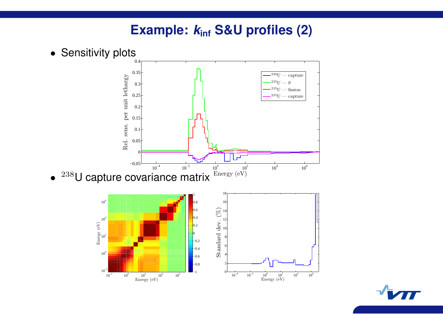## **Example:**  $k_{\text{inf}}$  **S&U** profiles (2)

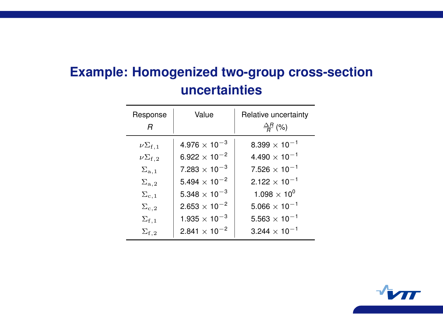# **Example: Homogenized two-group cross-section uncertainties**

| Response<br>R         | Value                  | Relative uncertainty<br>$\frac{\Delta R}{R}$ (%) |
|-----------------------|------------------------|--------------------------------------------------|
| $\nu\Sigma_{\rm f,1}$ | $4.976 \times 10^{-3}$ | 8.399 $\times$ 10 <sup>-1</sup>                  |
| $\nu\Sigma_{\rm f,2}$ | $6.922 \times 10^{-2}$ | 4.490 $\times$ 10 <sup>-1</sup>                  |
| $\Sigma_{\rm a,1}$    | $7.283 \times 10^{-3}$ | $7.526 \times 10^{-1}$                           |
| $\Sigma_{\rm a,2}$    | $5.494 \times 10^{-2}$ | $2.122 \times 10^{-1}$                           |
| $\Sigma_{\rm c,1}$    | $5.348 \times 10^{-3}$ | 1.098 $\times$ 10 <sup>0</sup>                   |
| $\Sigma_{\rm c,2}$    | $2.653 \times 10^{-2}$ | $5.066 \times 10^{-1}$                           |
| $\Sigma_{\rm f,1}$    | $1.935 \times 10^{-3}$ | $5.563 \times 10^{-1}$                           |
| $\Sigma_{\rm f,2}$    | $2.841 \times 10^{-2}$ | $3.244 \times 10^{-1}$                           |

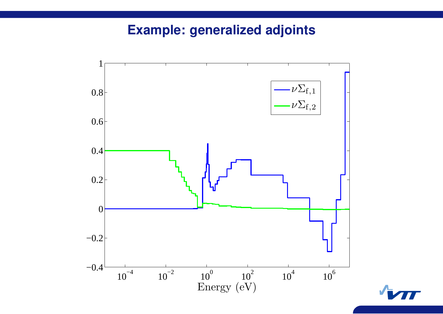#### **Example: generalized adjoints**

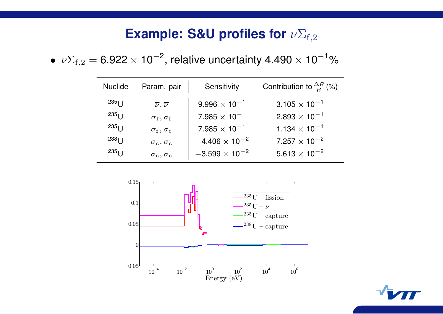#### **Example: S&U profiles for**  $ν\Sigma_{f,2}$

*• <sup>ν</sup>*Σf*,*<sup>2</sup> <sup>=</sup> 6.922 *<sup>×</sup>* <sup>10</sup>*<sup>−</sup>*<sup>2</sup> , relative uncertainty 4.490 *<sup>×</sup>* <sup>10</sup>*<sup>−</sup>*<sup>1</sup> %

| <b>Nuclide</b>       | Param. pair                      | Sensitivity             | Contribution to $\frac{\Delta R}{B}$ (%) |
|----------------------|----------------------------------|-------------------------|------------------------------------------|
| $235$                | $\overline{\nu}, \overline{\nu}$ | $9.996 \times 10^{-1}$  | $3.105 \times 10^{-1}$                   |
| $235$ <sub>   </sub> | $\sigma_{\rm f}, \sigma_{\rm f}$ | $7.985 \times 10^{-1}$  | $2.893 \times 10^{-1}$                   |
| $235$ []             | $\sigma_{\rm f}, \sigma_{\rm c}$ | $7.985 \times 10^{-1}$  | 1.134 $\times$ 10 <sup>-1</sup>          |
| $238$                | $\sigma_{\rm c}, \sigma_{\rm c}$ | $-4.406\times10^{-2}$   | $7.257 \times 10^{-2}$                   |
| $235$ <sub>  J</sub> | $\sigma_{\rm c}, \sigma_{\rm c}$ | $-3.599 \times 10^{-2}$ | $5.613 \times 10^{-2}$                   |